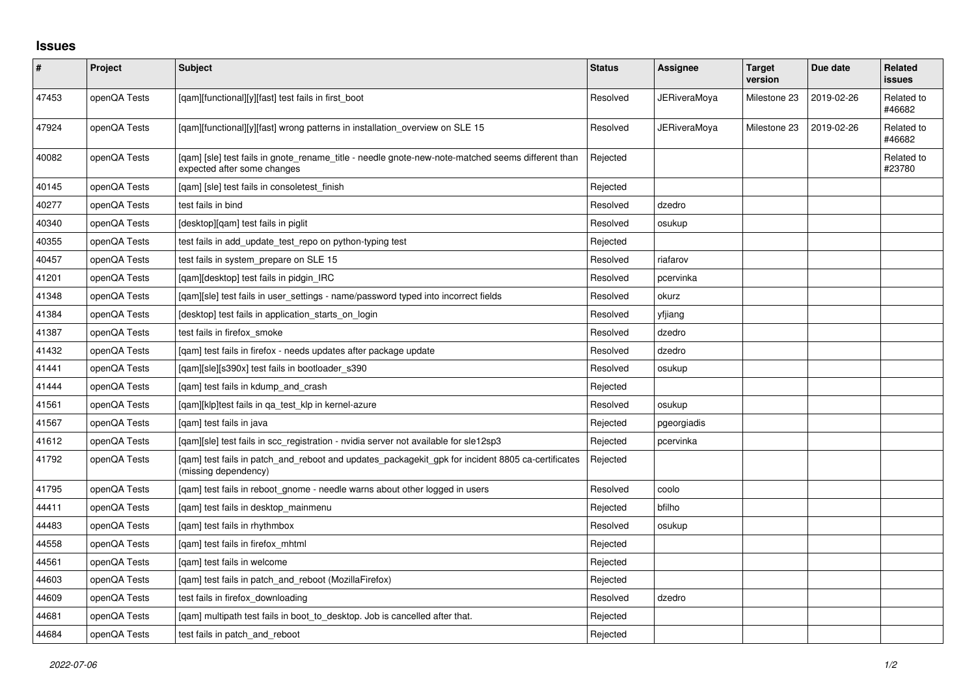## **Issues**

| $\vert$ # | Project      | Subject                                                                                                                          | <b>Status</b> | Assignee            | <b>Target</b><br>version | Due date   | Related<br>issues    |
|-----------|--------------|----------------------------------------------------------------------------------------------------------------------------------|---------------|---------------------|--------------------------|------------|----------------------|
| 47453     | openQA Tests | [qam][functional][y][fast] test fails in first_boot                                                                              | Resolved      | <b>JERiveraMoya</b> | Milestone 23             | 2019-02-26 | Related to<br>#46682 |
| 47924     | openQA Tests | [qam][functional][y][fast] wrong patterns in installation_overview on SLE 15                                                     | Resolved      | <b>JERiveraMoya</b> | Milestone 23             | 2019-02-26 | Related to<br>#46682 |
| 40082     | openQA Tests | [gam] [sle] test fails in gnote rename title - needle gnote-new-note-matched seems different than<br>expected after some changes | Rejected      |                     |                          |            | Related to<br>#23780 |
| 40145     | openQA Tests | [qam] [sle] test fails in consoletest_finish                                                                                     | Rejected      |                     |                          |            |                      |
| 40277     | openQA Tests | test fails in bind                                                                                                               | Resolved      | dzedro              |                          |            |                      |
| 40340     | openQA Tests | [desktop][qam] test fails in piglit                                                                                              | Resolved      | osukup              |                          |            |                      |
| 40355     | openQA Tests | test fails in add update test repo on python-typing test                                                                         | Rejected      |                     |                          |            |                      |
| 40457     | openQA Tests | test fails in system_prepare on SLE 15                                                                                           | Resolved      | riafarov            |                          |            |                      |
| 41201     | openQA Tests | [gam][desktop] test fails in pidgin IRC                                                                                          | Resolved      | pcervinka           |                          |            |                      |
| 41348     | openQA Tests | [qam][sle] test fails in user_settings - name/password typed into incorrect fields                                               | Resolved      | okurz               |                          |            |                      |
| 41384     | openQA Tests | [desktop] test fails in application_starts_on_login                                                                              | Resolved      | yfjiang             |                          |            |                      |
| 41387     | openQA Tests | test fails in firefox_smoke                                                                                                      | Resolved      | dzedro              |                          |            |                      |
| 41432     | openQA Tests | [gam] test fails in firefox - needs updates after package update                                                                 | Resolved      | dzedro              |                          |            |                      |
| 41441     | openQA Tests | [qam][sle][s390x] test fails in bootloader_s390                                                                                  | Resolved      | osukup              |                          |            |                      |
| 41444     | openQA Tests | [gam] test fails in kdump and crash                                                                                              | Rejected      |                     |                          |            |                      |
| 41561     | openQA Tests | [gam][klp]test fails in ga test klp in kernel-azure                                                                              | Resolved      | osukup              |                          |            |                      |
| 41567     | openQA Tests | [gam] test fails in java                                                                                                         | Rejected      | pgeorgiadis         |                          |            |                      |
| 41612     | openQA Tests | [gam][sle] test fails in scc registration - nvidia server not available for sle12sp3                                             | Rejected      | pcervinka           |                          |            |                      |
| 41792     | openQA Tests | [qam] test fails in patch_and_reboot and updates_packagekit_gpk for incident 8805 ca-certificates<br>(missing dependency)        | Rejected      |                     |                          |            |                      |
| 41795     | openQA Tests | [gam] test fails in reboot gnome - needle warns about other logged in users                                                      | Resolved      | coolo               |                          |            |                      |
| 44411     | openQA Tests | [qam] test fails in desktop_mainmenu                                                                                             | Rejected      | bfilho              |                          |            |                      |
| 44483     | openQA Tests | [gam] test fails in rhythmbox                                                                                                    | Resolved      | osukup              |                          |            |                      |
| 44558     | openQA Tests | [qam] test fails in firefox_mhtml                                                                                                | Rejected      |                     |                          |            |                      |
| 44561     | openQA Tests | [gam] test fails in welcome                                                                                                      | Rejected      |                     |                          |            |                      |
| 44603     | openQA Tests | [qam] test fails in patch_and_reboot (MozillaFirefox)                                                                            | Rejected      |                     |                          |            |                      |
| 44609     | openQA Tests | test fails in firefox downloading                                                                                                | Resolved      | dzedro              |                          |            |                      |
| 44681     | openQA Tests | [qam] multipath test fails in boot_to_desktop. Job is cancelled after that.                                                      | Rejected      |                     |                          |            |                      |
| 44684     | openQA Tests | test fails in patch and reboot                                                                                                   | Rejected      |                     |                          |            |                      |